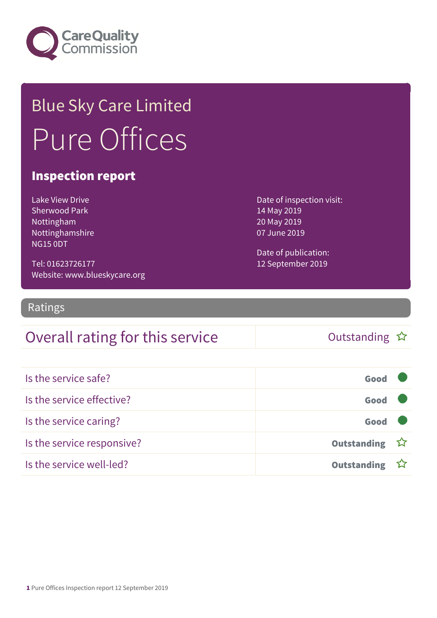

## Blue Sky Care Limited Pure Offices

#### Inspection report

Lake View Drive Sherwood Park Nottingham Nottinghamshire NG15 0DT

Tel: 01623726177 Website: www.blueskycare.org Date of inspection visit: 14 May 2019 20 May 2019 07 June 2019

Date of publication: 12 September 2019

Ratings

### Overall rating for this service and the Cutstanding  $\hat{x}$

| Is the service safe?       | Good               |  |
|----------------------------|--------------------|--|
| Is the service effective?  | Good               |  |
| Is the service caring?     | Good               |  |
| Is the service responsive? | Outstanding ☆      |  |
| Is the service well-led?   | <b>Outstanding</b> |  |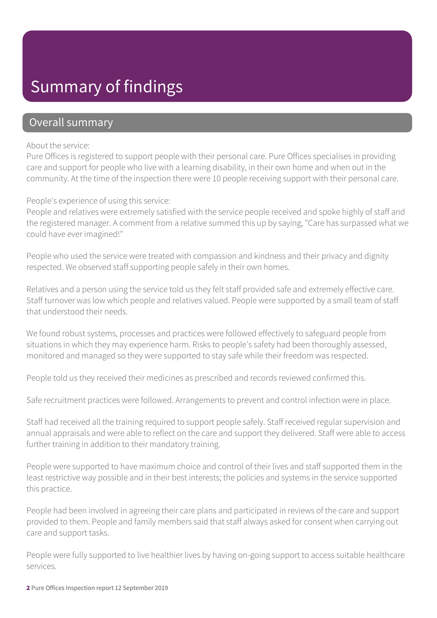### Summary of findings

#### Overall summary

#### About the service:

Pure Offices is registered to support people with their personal care. Pure Offices specialises in providing care and support for people who live with a learning disability, in their own home and when out in the community. At the time of the inspection there were 10 people receiving support with their personal care.

#### People's experience of using this service:

People and relatives were extremely satisfied with the service people received and spoke highly of staff and the registered manager. A comment from a relative summed this up by saying, "Care has surpassed what we could have ever imagined!"

People who used the service were treated with compassion and kindness and their privacy and dignity respected. We observed staff supporting people safely in their own homes.

Relatives and a person using the service told us they felt staff provided safe and extremely effective care. Staff turnover was low which people and relatives valued. People were supported by a small team of staff that understood their needs.

We found robust systems, processes and practices were followed effectively to safeguard people from situations in which they may experience harm. Risks to people's safety had been thoroughly assessed, monitored and managed so they were supported to stay safe while their freedom was respected.

People told us they received their medicines as prescribed and records reviewed confirmed this.

Safe recruitment practices were followed. Arrangements to prevent and control infection were in place.

Staff had received all the training required to support people safely. Staff received regular supervision and annual appraisals and were able to reflect on the care and support they delivered. Staff were able to access further training in addition to their mandatory training.

People were supported to have maximum choice and control of their lives and staff supported them in the least restrictive way possible and in their best interests; the policies and systems in the service supported this practice.

People had been involved in agreeing their care plans and participated in reviews of the care and support provided to them. People and family members said that staff always asked for consent when carrying out care and support tasks.

People were fully supported to live healthier lives by having on-going support to access suitable healthcare services.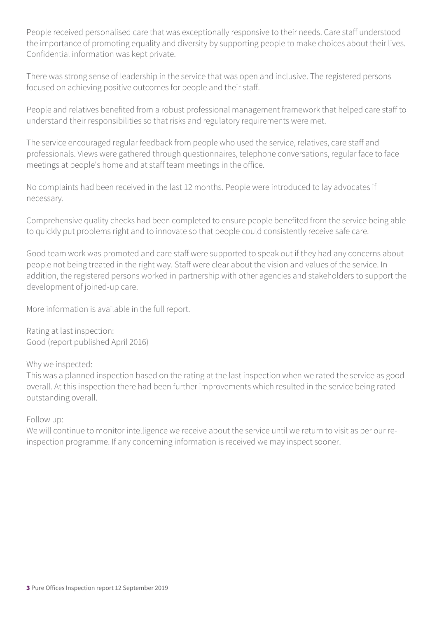People received personalised care that was exceptionally responsive to their needs. Care staff understood the importance of promoting equality and diversity by supporting people to make choices about their lives. Confidential information was kept private.

There was strong sense of leadership in the service that was open and inclusive. The registered persons focused on achieving positive outcomes for people and their staff.

People and relatives benefited from a robust professional management framework that helped care staff to understand their responsibilities so that risks and regulatory requirements were met.

The service encouraged regular feedback from people who used the service, relatives, care staff and professionals. Views were gathered through questionnaires, telephone conversations, regular face to face meetings at people's home and at staff team meetings in the office.

No complaints had been received in the last 12 months. People were introduced to lay advocates if necessary.

Comprehensive quality checks had been completed to ensure people benefited from the service being able to quickly put problems right and to innovate so that people could consistently receive safe care.

Good team work was promoted and care staff were supported to speak out if they had any concerns about people not being treated in the right way. Staff were clear about the vision and values of the service. In addition, the registered persons worked in partnership with other agencies and stakeholders to support the development of joined-up care.

More information is available in the full report.

Rating at last inspection: Good (report published April 2016)

Why we inspected:

This was a planned inspection based on the rating at the last inspection when we rated the service as good overall. At this inspection there had been further improvements which resulted in the service being rated outstanding overall.

Follow up:

We will continue to monitor intelligence we receive about the service until we return to visit as per our reinspection programme. If any concerning information is received we may inspect sooner.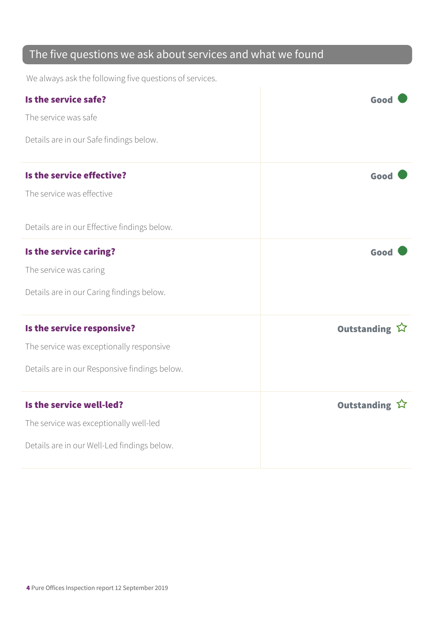### The five questions we ask about services and what we found

We always ask the following five questions of services.

| Is the service safe?<br>The service was safe<br>Details are in our Safe findings below.                                 | Good          |
|-------------------------------------------------------------------------------------------------------------------------|---------------|
| Is the service effective?<br>The service was effective<br>Details are in our Effective findings below.                  | Good          |
| Is the service caring?<br>The service was caring<br>Details are in our Caring findings below.                           | Good          |
| Is the service responsive?<br>The service was exceptionally responsive<br>Details are in our Responsive findings below. | Outstanding ☆ |
| Is the service well-led?<br>The service was exceptionally well-led<br>Details are in our Well-Led findings below.       | Outstanding ☆ |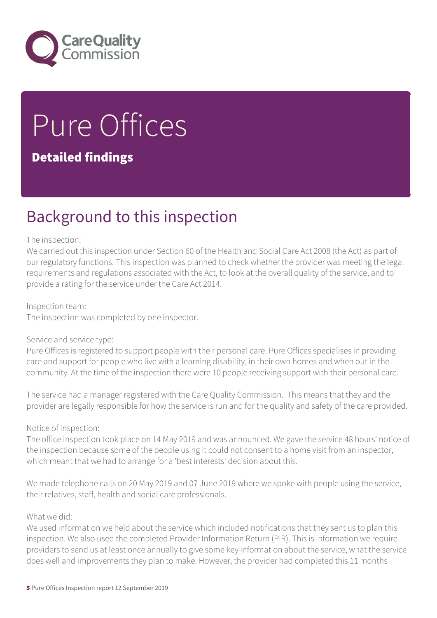

# Pure Offices

#### Detailed findings

### Background to this inspection

#### The inspection:

We carried out this inspection under Section 60 of the Health and Social Care Act 2008 (the Act) as part of our regulatory functions. This inspection was planned to check whether the provider was meeting the legal requirements and regulations associated with the Act, to look at the overall quality of the service, and to provide a rating for the service under the Care Act 2014.

#### Inspection team:

The inspection was completed by one inspector.

#### Service and service type:

Pure Offices is registered to support people with their personal care. Pure Offices specialises in providing care and support for people who live with a learning disability, in their own homes and when out in the community. At the time of the inspection there were 10 people receiving support with their personal care.

The service had a manager registered with the Care Quality Commission. This means that they and the provider are legally responsible for how the service is run and for the quality and safety of the care provided.

#### Notice of inspection:

The office inspection took place on 14 May 2019 and was announced. We gave the service 48 hours' notice of the inspection because some of the people using it could not consent to a home visit from an inspector, which meant that we had to arrange for a 'best interests' decision about this.

We made telephone calls on 20 May 2019 and 07 June 2019 where we spoke with people using the service, their relatives, staff, health and social care professionals.

#### What we did:

We used information we held about the service which included notifications that they sent us to plan this inspection. We also used the completed Provider Information Return (PIR). This is information we require providers to send us at least once annually to give some key information about the service, what the service does well and improvements they plan to make. However, the provider had completed this 11 months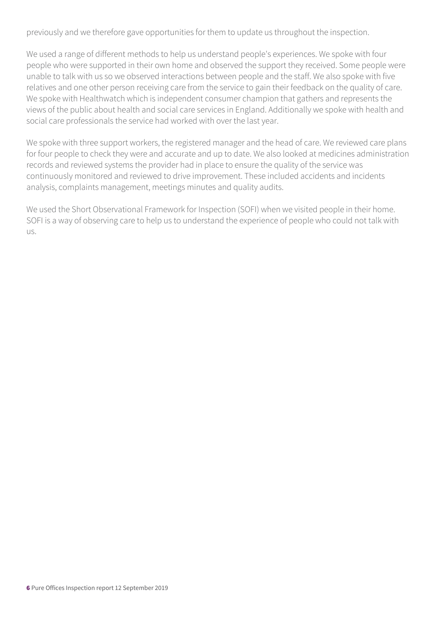previously and we therefore gave opportunities for them to update us throughout the inspection.

We used a range of different methods to help us understand people's experiences. We spoke with four people who were supported in their own home and observed the support they received. Some people were unable to talk with us so we observed interactions between people and the staff. We also spoke with five relatives and one other person receiving care from the service to gain their feedback on the quality of care. We spoke with Healthwatch which is independent consumer champion that gathers and represents the views of the public about health and social care services in England. Additionally we spoke with health and social care professionals the service had worked with over the last year.

We spoke with three support workers, the registered manager and the head of care. We reviewed care plans for four people to check they were and accurate and up to date. We also looked at medicines administration records and reviewed systems the provider had in place to ensure the quality of the service was continuously monitored and reviewed to drive improvement. These included accidents and incidents analysis, complaints management, meetings minutes and quality audits.

We used the Short Observational Framework for Inspection (SOFI) when we visited people in their home. SOFI is a way of observing care to help us to understand the experience of people who could not talk with us.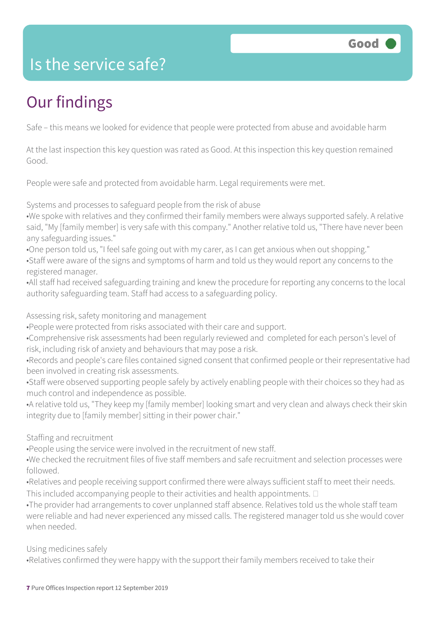### Is the service safe?

### Our findings

Safe – this means we looked for evidence that people were protected from abuse and avoidable harm

At the last inspection this key question was rated as Good. At this inspection this key question remained Good.

People were safe and protected from avoidable harm. Legal requirements were met.

Systems and processes to safeguard people from the risk of abuse

•We spoke with relatives and they confirmed their family members were always supported safely. A relative said, "My [family member] is very safe with this company." Another relative told us, "There have never been any safeguarding issues."

•One person told us, "I feel safe going out with my carer, as I can get anxious when out shopping."

•Staff were aware of the signs and symptoms of harm and told us they would report any concerns to the registered manager.

•All staff had received safeguarding training and knew the procedure for reporting any concerns to the local authority safeguarding team. Staff had access to a safeguarding policy.

Assessing risk, safety monitoring and management

•People were protected from risks associated with their care and support.

•Comprehensive risk assessments had been regularly reviewed and completed for each person's level of risk, including risk of anxiety and behaviours that may pose a risk.

•Records and people's care files contained signed consent that confirmed people or their representative had been involved in creating risk assessments.

•Staff were observed supporting people safely by actively enabling people with their choices so they had as much control and independence as possible.

•A relative told us, "They keep my [family member] looking smart and very clean and always check their skin integrity due to [family member] sitting in their power chair."

Staffing and recruitment

•People using the service were involved in the recruitment of new staff.

•We checked the recruitment files of five staff members and safe recruitment and selection processes were followed.

•Relatives and people receiving support confirmed there were always sufficient staff to meet their needs. This included accompanying people to their activities and health appointments.  $\square$ 

•The provider had arrangements to cover unplanned staff absence. Relatives told us the whole staff team were reliable and had never experienced any missed calls. The registered manager told us she would cover when needed.

Using medicines safely

•Relatives confirmed they were happy with the support their family members received to take their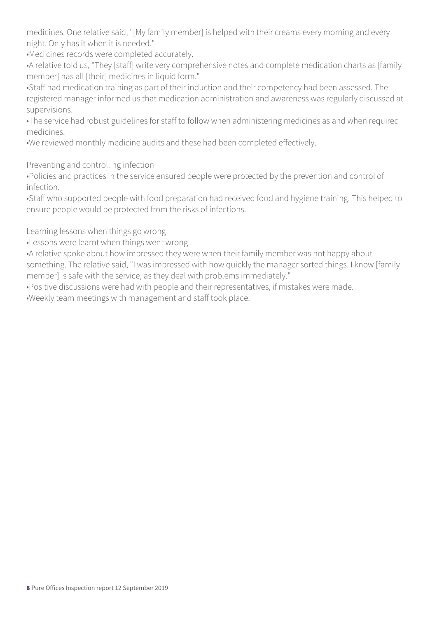medicines. One relative said, "[My family member] is helped with their creams every morning and every night. Only has it when it is needed."

•Medicines records were completed accurately.

•A relative told us, "They [staff] write very comprehensive notes and complete medication charts as [family member] has all [their] medicines in liquid form."

•Staff had medication training as part of their induction and their competency had been assessed. The registered manager informed us that medication administration and awareness was regularly discussed at supervisions.

•The service had robust guidelines for staff to follow when administering medicines as and when required medicines.

•We reviewed monthly medicine audits and these had been completed effectively.

Preventing and controlling infection

•Policies and practices in the service ensured people were protected by the prevention and control of infection.

•Staff who supported people with food preparation had received food and hygiene training. This helped to ensure people would be protected from the risks of infections.

Learning lessons when things go wrong

•Lessons were learnt when things went wrong

•A relative spoke about how impressed they were when their family member was not happy about something. The relative said, "I was impressed with how quickly the manager sorted things. I know [family member] is safe with the service, as they deal with problems immediately."

•Positive discussions were had with people and their representatives, if mistakes were made.

•Weekly team meetings with management and staff took place.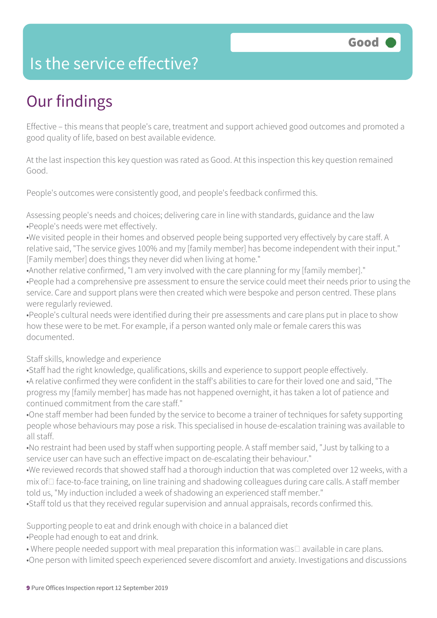### Is the service effective?

### Our findings

Effective – this means that people's care, treatment and support achieved good outcomes and promoted a good quality of life, based on best available evidence.

At the last inspection this key question was rated as Good. At this inspection this key question remained Good.

People's outcomes were consistently good, and people's feedback confirmed this.

Assessing people's needs and choices; delivering care in line with standards, guidance and the law •People's needs were met effectively.

•We visited people in their homes and observed people being supported very effectively by care staff. A relative said, "The service gives 100% and my [family member] has become independent with their input." [Family member] does things they never did when living at home."

•Another relative confirmed, "I am very involved with the care planning for my [family member]." •People had a comprehensive pre assessment to ensure the service could meet their needs prior to using the service. Care and support plans were then created which were bespoke and person centred. These plans were regularly reviewed.

•People's cultural needs were identified during their pre assessments and care plans put in place to show how these were to be met. For example, if a person wanted only male or female carers this was documented.

Staff skills, knowledge and experience

•Staff had the right knowledge, qualifications, skills and experience to support people effectively. •A relative confirmed they were confident in the staff's abilities to care for their loved one and said, "The progress my [family member] has made has not happened overnight, it has taken a lot of patience and continued commitment from the care staff."

•One staff member had been funded by the service to become a trainer of techniques for safety supporting people whose behaviours may pose a risk. This specialised in house de-escalation training was available to all staff.

•No restraint had been used by staff when supporting people. A staff member said, "Just by talking to a service user can have such an effective impact on de-escalating their behaviour."

•We reviewed records that showed staff had a thorough induction that was completed over 12 weeks, with a  $mix$  of  $\Box$  face-to-face training, on line training and shadowing colleagues during care calls. A staff member told us, "My induction included a week of shadowing an experienced staff member."

•Staff told us that they received regular supervision and annual appraisals, records confirmed this.

Supporting people to eat and drink enough with choice in a balanced diet

•People had enough to eat and drink.

• Where people needed support with meal preparation this information was $\Box$  available in care plans. •One person with limited speech experienced severe discomfort and anxiety. Investigations and discussions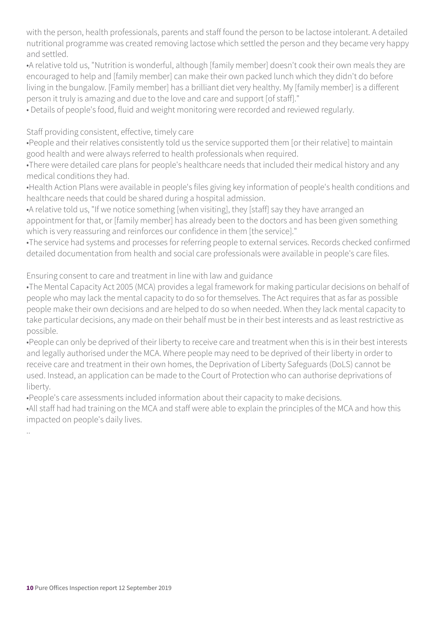with the person, health professionals, parents and staff found the person to be lactose intolerant. A detailed nutritional programme was created removing lactose which settled the person and they became very happy and settled.

•A relative told us, "Nutrition is wonderful, although [family member] doesn't cook their own meals they are encouraged to help and [family member] can make their own packed lunch which they didn't do before living in the bungalow. [Family member] has a brilliant diet very healthy. My [family member] is a different person it truly is amazing and due to the love and care and support [of staff]."

• Details of people's food, fluid and weight monitoring were recorded and reviewed regularly.

#### Staff providing consistent, effective, timely care

•People and their relatives consistently told us the service supported them [or their relative] to maintain good health and were always referred to health professionals when required.

•There were detailed care plans for people's healthcare needs that included their medical history and any medical conditions they had.

•Health Action Plans were available in people's files giving key information of people's health conditions and healthcare needs that could be shared during a hospital admission.

•A relative told us, "If we notice something [when visiting], they [staff] say they have arranged an appointment for that, or [family member] has already been to the doctors and has been given something which is very reassuring and reinforces our confidence in them [the service]."

•The service had systems and processes for referring people to external services. Records checked confirmed detailed documentation from health and social care professionals were available in people's care files.

#### Ensuring consent to care and treatment in line with law and guidance

•The Mental Capacity Act 2005 (MCA) provides a legal framework for making particular decisions on behalf of people who may lack the mental capacity to do so for themselves. The Act requires that as far as possible people make their own decisions and are helped to do so when needed. When they lack mental capacity to take particular decisions, any made on their behalf must be in their best interests and as least restrictive as possible.

•People can only be deprived of their liberty to receive care and treatment when this is in their best interests and legally authorised under the MCA. Where people may need to be deprived of their liberty in order to receive care and treatment in their own homes, the Deprivation of Liberty Safeguards (DoLS) cannot be used. Instead, an application can be made to the Court of Protection who can authorise deprivations of liberty.

•People's care assessments included information about their capacity to make decisions.

•All staff had had training on the MCA and staff were able to explain the principles of the MCA and how this impacted on people's daily lives.

..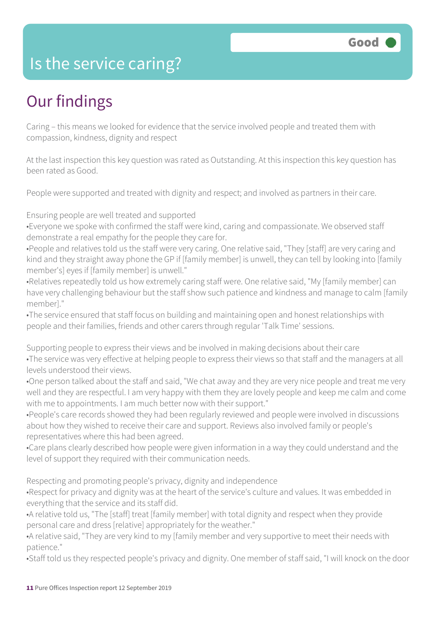### Is the service caring?

### Our findings

Caring – this means we looked for evidence that the service involved people and treated them with compassion, kindness, dignity and respect

At the last inspection this key question was rated as Outstanding. At this inspection this key question has been rated as Good.

People were supported and treated with dignity and respect; and involved as partners in their care.

Ensuring people are well treated and supported

•Everyone we spoke with confirmed the staff were kind, caring and compassionate. We observed staff demonstrate a real empathy for the people they care for.

•People and relatives told us the staff were very caring. One relative said, "They [staff] are very caring and kind and they straight away phone the GP if [family member] is unwell, they can tell by looking into [family member's] eyes if [family member] is unwell."

•Relatives repeatedly told us how extremely caring staff were. One relative said, "My [family member] can have very challenging behaviour but the staff show such patience and kindness and manage to calm [family member]."

•The service ensured that staff focus on building and maintaining open and honest relationships with people and their families, friends and other carers through regular 'Talk Time' sessions.

Supporting people to express their views and be involved in making decisions about their care •The service was very effective at helping people to express their views so that staff and the managers at all levels understood their views.

•One person talked about the staff and said, "We chat away and they are very nice people and treat me very well and they are respectful. I am very happy with them they are lovely people and keep me calm and come with me to appointments. I am much better now with their support."

•People's care records showed they had been regularly reviewed and people were involved in discussions about how they wished to receive their care and support. Reviews also involved family or people's representatives where this had been agreed.

•Care plans clearly described how people were given information in a way they could understand and the level of support they required with their communication needs.

Respecting and promoting people's privacy, dignity and independence

•Respect for privacy and dignity was at the heart of the service's culture and values. It was embedded in everything that the service and its staff did.

•A relative told us, "The [staff] treat [family member] with total dignity and respect when they provide personal care and dress [relative] appropriately for the weather."

•A relative said, "They are very kind to my [family member and very supportive to meet their needs with patience."

•Staff told us they respected people's privacy and dignity. One member of staff said, "I will knock on the door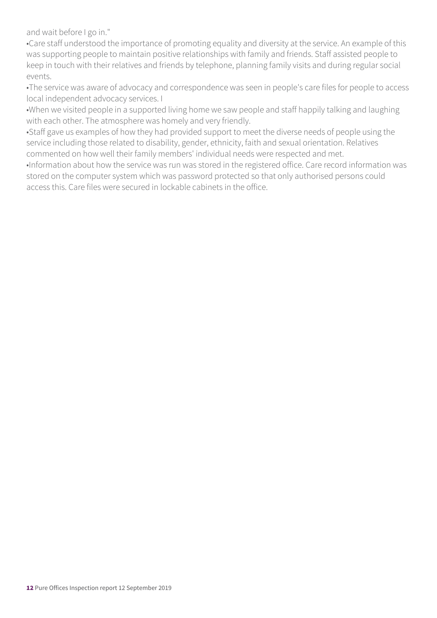and wait before I go in."

•Care staff understood the importance of promoting equality and diversity at the service. An example of this was supporting people to maintain positive relationships with family and friends. Staff assisted people to keep in touch with their relatives and friends by telephone, planning family visits and during regular social events.

•The service was aware of advocacy and correspondence was seen in people's care files for people to access local independent advocacy services. I

•When we visited people in a supported living home we saw people and staff happily talking and laughing with each other. The atmosphere was homely and very friendly.

•Staff gave us examples of how they had provided support to meet the diverse needs of people using the service including those related to disability, gender, ethnicity, faith and sexual orientation. Relatives commented on how well their family members' individual needs were respected and met.

•Information about how the service was run was stored in the registered office. Care record information was stored on the computer system which was password protected so that only authorised persons could access this. Care files were secured in lockable cabinets in the office.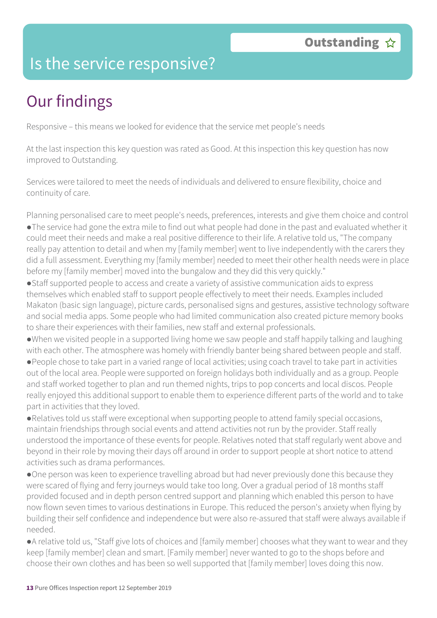### Is the service responsive?

### Our findings

Responsive – this means we looked for evidence that the service met people's needs

At the last inspection this key question was rated as Good. At this inspection this key question has now improved to Outstanding.

Services were tailored to meet the needs of individuals and delivered to ensure flexibility, choice and continuity of care.

Planning personalised care to meet people's needs, preferences, interests and give them choice and control ●The service had gone the extra mile to find out what people had done in the past and evaluated whether it could meet their needs and make a real positive difference to their life. A relative told us, "The company really pay attention to detail and when my [family member] went to live independently with the carers they did a full assessment. Everything my [family member] needed to meet their other health needs were in place before my [family member] moved into the bungalow and they did this very quickly."

●Staff supported people to access and create a variety of assistive communication aids to express themselves which enabled staff to support people effectively to meet their needs. Examples included Makaton (basic sign language), picture cards, personalised signs and gestures, assistive technology software and social media apps. Some people who had limited communication also created picture memory books to share their experiences with their families, new staff and external professionals.

●When we visited people in a supported living home we saw people and staff happily talking and laughing with each other. The atmosphere was homely with friendly banter being shared between people and staff.

●People chose to take part in a varied range of local activities; using coach travel to take part in activities out of the local area. People were supported on foreign holidays both individually and as a group. People and staff worked together to plan and run themed nights, trips to pop concerts and local discos. People really enjoyed this additional support to enable them to experience different parts of the world and to take part in activities that they loved.

●Relatives told us staff were exceptional when supporting people to attend family special occasions, maintain friendships through social events and attend activities not run by the provider. Staff really understood the importance of these events for people. Relatives noted that staff regularly went above and beyond in their role by moving their days off around in order to support people at short notice to attend activities such as drama performances.

●One person was keen to experience travelling abroad but had never previously done this because they were scared of flying and ferry journeys would take too long. Over a gradual period of 18 months staff provided focused and in depth person centred support and planning which enabled this person to have now flown seven times to various destinations in Europe. This reduced the person's anxiety when flying by building their self confidence and independence but were also re-assured that staff were always available if needed.

●A relative told us, "Staff give lots of choices and [family member] chooses what they want to wear and they keep [family member] clean and smart. [Family member] never wanted to go to the shops before and choose their own clothes and has been so well supported that [family member] loves doing this now.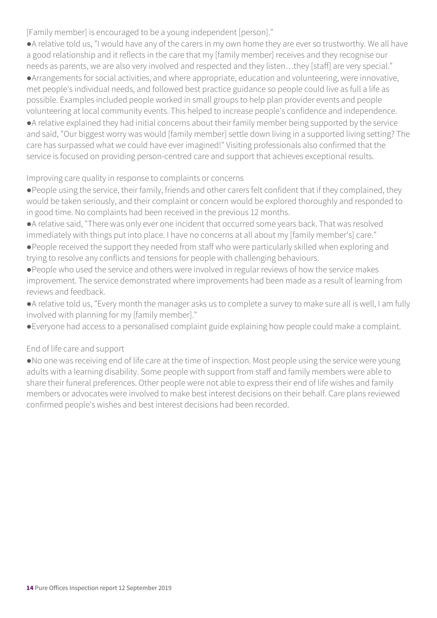[Family member] is encouraged to be a young independent [person]."

●A relative told us, "I would have any of the carers in my own home they are ever so trustworthy. We all have a good relationship and it reflects in the care that my [family member] receives and they recognise our needs as parents, we are also very involved and respected and they listen…they [staff] are very special." ●Arrangements for social activities, and where appropriate, education and volunteering, were innovative, met people's individual needs, and followed best practice guidance so people could live as full a life as possible. Examples included people worked in small groups to help plan provider events and people volunteering at local community events. This helped to increase people's confidence and independence. ●A relative explained they had initial concerns about their family member being supported by the service and said, "Our biggest worry was would [family member] settle down living in a supported living setting? The care has surpassed what we could have ever imagined!" Visiting professionals also confirmed that the service is focused on providing person-centred care and support that achieves exceptional results.

#### Improving care quality in response to complaints or concerns

- ●People using the service, their family, friends and other carers felt confident that if they complained, they would be taken seriously, and their complaint or concern would be explored thoroughly and responded to in good time. No complaints had been received in the previous 12 months.
- ●A relative said, "There was only ever one incident that occurred some years back. That was resolved immediately with things put into place. I have no concerns at all about my [family member's] care."
- ●People received the support they needed from staff who were particularly skilled when exploring and trying to resolve any conflicts and tensions for people with challenging behaviours.
- ●People who used the service and others were involved in regular reviews of how the service makes improvement. The service demonstrated where improvements had been made as a result of learning from reviews and feedback.
- ●A relative told us, "Every month the manager asks us to complete a survey to make sure all is well, I am fully involved with planning for my [family member]."
- ●Everyone had access to a personalised complaint guide explaining how people could make a complaint.

#### End of life care and support

●No one was receiving end of life care at the time of inspection. Most people using the service were young adults with a learning disability. Some people with support from staff and family members were able to share their funeral preferences. Other people were not able to express their end of life wishes and family members or advocates were involved to make best interest decisions on their behalf. Care plans reviewed confirmed people's wishes and best interest decisions had been recorded.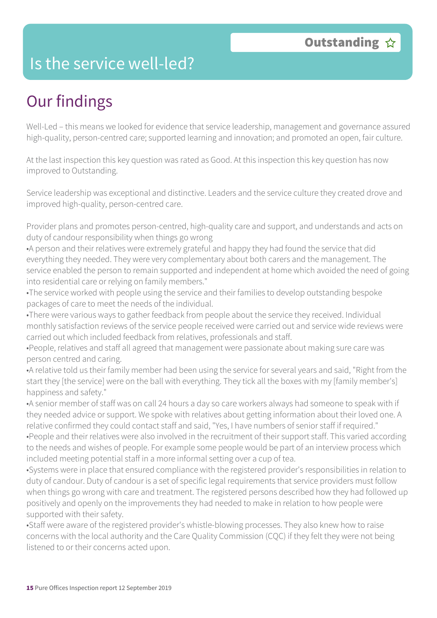### Is the service well-led?

### Our findings

Well-Led – this means we looked for evidence that service leadership, management and governance assured high-quality, person-centred care; supported learning and innovation; and promoted an open, fair culture.

At the last inspection this key question was rated as Good. At this inspection this key question has now improved to Outstanding.

Service leadership was exceptional and distinctive. Leaders and the service culture they created drove and improved high-quality, person-centred care.

Provider plans and promotes person-centred, high-quality care and support, and understands and acts on duty of candour responsibility when things go wrong

•A person and their relatives were extremely grateful and happy they had found the service that did everything they needed. They were very complementary about both carers and the management. The service enabled the person to remain supported and independent at home which avoided the need of going into residential care or relying on family members."

•The service worked with people using the service and their families to develop outstanding bespoke packages of care to meet the needs of the individual.

•There were various ways to gather feedback from people about the service they received. Individual monthly satisfaction reviews of the service people received were carried out and service wide reviews were carried out which included feedback from relatives, professionals and staff.

•People, relatives and staff all agreed that management were passionate about making sure care was person centred and caring.

•A relative told us their family member had been using the service for several years and said, "Right from the start they [the service] were on the ball with everything. They tick all the boxes with my [family member's] happiness and safety."

•A senior member of staff was on call 24 hours a day so care workers always had someone to speak with if they needed advice or support. We spoke with relatives about getting information about their loved one. A relative confirmed they could contact staff and said, "Yes, I have numbers of senior staff if required." •People and their relatives were also involved in the recruitment of their support staff. This varied according to the needs and wishes of people. For example some people would be part of an interview process which included meeting potential staff in a more informal setting over a cup of tea.

•Systems were in place that ensured compliance with the registered provider's responsibilities in relation to duty of candour. Duty of candour is a set of specific legal requirements that service providers must follow when things go wrong with care and treatment. The registered persons described how they had followed up positively and openly on the improvements they had needed to make in relation to how people were supported with their safety.

•Staff were aware of the registered provider's whistle-blowing processes. They also knew how to raise concerns with the local authority and the Care Quality Commission (CQC) if they felt they were not being listened to or their concerns acted upon.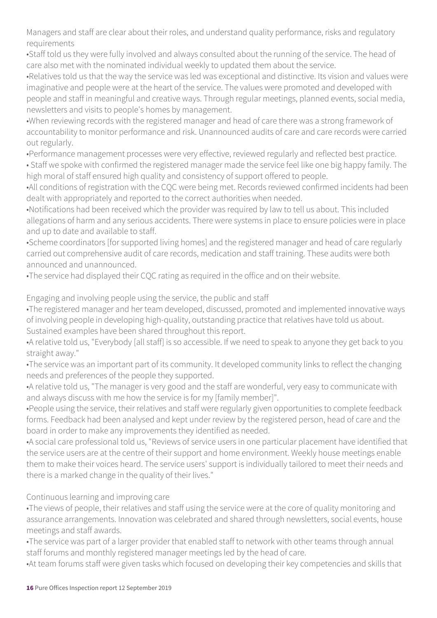Managers and staff are clear about their roles, and understand quality performance, risks and regulatory requirements

•Staff told us they were fully involved and always consulted about the running of the service. The head of care also met with the nominated individual weekly to updated them about the service.

•Relatives told us that the way the service was led was exceptional and distinctive. Its vision and values were imaginative and people were at the heart of the service. The values were promoted and developed with people and staff in meaningful and creative ways. Through regular meetings, planned events, social media, newsletters and visits to people's homes by management.

•When reviewing records with the registered manager and head of care there was a strong framework of accountability to monitor performance and risk. Unannounced audits of care and care records were carried out regularly.

•Performance management processes were very effective, reviewed regularly and reflected best practice.

• Staff we spoke with confirmed the registered manager made the service feel like one big happy family. The high moral of staff ensured high quality and consistency of support offered to people.

•All conditions of registration with the CQC were being met. Records reviewed confirmed incidents had been dealt with appropriately and reported to the correct authorities when needed.

•Notifications had been received which the provider was required by law to tell us about. This included allegations of harm and any serious accidents. There were systems in place to ensure policies were in place and up to date and available to staff.

•Scheme coordinators [for supported living homes] and the registered manager and head of care regularly carried out comprehensive audit of care records, medication and staff training. These audits were both announced and unannounced.

•The service had displayed their CQC rating as required in the office and on their website.

Engaging and involving people using the service, the public and staff

•The registered manager and her team developed, discussed, promoted and implemented innovative ways of involving people in developing high-quality, outstanding practice that relatives have told us about. Sustained examples have been shared throughout this report.

•A relative told us, "Everybody [all staff] is so accessible. If we need to speak to anyone they get back to you straight away."

•The service was an important part of its community. It developed community links to reflect the changing needs and preferences of the people they supported.

•A relative told us, "The manager is very good and the staff are wonderful, very easy to communicate with and always discuss with me how the service is for my [family member]".

•People using the service, their relatives and staff were regularly given opportunities to complete feedback forms. Feedback had been analysed and kept under review by the registered person, head of care and the board in order to make any improvements they identified as needed.

•A social care professional told us, "Reviews of service users in one particular placement have identified that the service users are at the centre of their support and home environment. Weekly house meetings enable them to make their voices heard. The service users' support is individually tailored to meet their needs and there is a marked change in the quality of their lives."

Continuous learning and improving care

•The views of people, their relatives and staff using the service were at the core of quality monitoring and assurance arrangements. Innovation was celebrated and shared through newsletters, social events, house meetings and staff awards.

•The service was part of a larger provider that enabled staff to network with other teams through annual staff forums and monthly registered manager meetings led by the head of care.

•At team forums staff were given tasks which focused on developing their key competencies and skills that